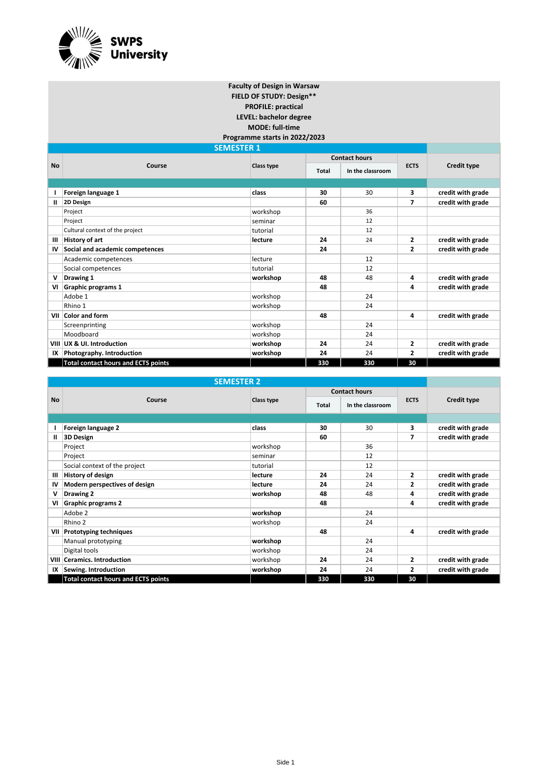

**FIELD OF STUDY: Design\*\* PROFILE: practical LEVEL: bachelor degree MODE: full-time Faculty of Design in Warsaw**

**Programme starts in 2022/2023**

|              | <b>SEMESTER 1</b>                          |            |       |                      |                |                    |
|--------------|--------------------------------------------|------------|-------|----------------------|----------------|--------------------|
|              |                                            |            |       | <b>Contact hours</b> |                |                    |
| <b>No</b>    | Course                                     | Class type | Total | In the classroom     | <b>ECTS</b>    | <b>Credit type</b> |
|              |                                            |            |       |                      |                |                    |
|              | Foreign language 1                         | class      | 30    | 30                   | 3              | credit with grade  |
| $\mathbf{u}$ | 2D Design                                  |            | 60    |                      | 7              | credit with grade  |
|              | Project                                    | workshop   |       | 36                   |                |                    |
|              | Project                                    | seminar    |       | 12                   |                |                    |
|              | Cultural context of the project            | tutorial   |       | 12                   |                |                    |
| Ш            | History of art                             | lecture    | 24    | 24                   | $\mathbf{2}$   | credit with grade  |
| IV           | Social and academic competences            |            | 24    |                      | $\mathbf{2}$   | credit with grade  |
|              | Academic competences                       | lecture    |       | 12                   |                |                    |
|              | Social competences                         | tutorial   |       | 12                   |                |                    |
| v            | Drawing 1                                  | workshop   | 48    | 48                   | 4              | credit with grade  |
| VI           | Graphic programs 1                         |            | 48    |                      | 4              | credit with grade  |
|              | Adobe 1                                    | workshop   |       | 24                   |                |                    |
|              | Rhino 1                                    | workshop   |       | 24                   |                |                    |
| VII          | <b>Color and form</b>                      |            | 48    |                      | 4              | credit with grade  |
|              | Screenprinting                             | workshop   |       | 24                   |                |                    |
|              | Moodboard                                  | workshop   |       | 24                   |                |                    |
| VIII         | UX & UI. Introduction                      | workshop   | 24    | 24                   | $\overline{2}$ | credit with grade  |
| IX           | Photography. Introduction                  | workshop   | 24    | 24                   | 2              | credit with grade  |
|              | <b>Total contact hours and ECTS points</b> |            | 330   | 330                  | 30             |                    |

| <b>SEMESTER 2</b> |                                            |            |       |                      |                |                   |  |  |
|-------------------|--------------------------------------------|------------|-------|----------------------|----------------|-------------------|--|--|
|                   |                                            |            |       | <b>Contact hours</b> |                |                   |  |  |
| <b>No</b>         | Course                                     | Class type | Total | In the classroom     | <b>ECTS</b>    | Credit type       |  |  |
|                   |                                            |            |       |                      |                |                   |  |  |
|                   | Foreign language 2                         | class      | 30    | 30                   | 3              | credit with grade |  |  |
| Ш                 | 3D Design                                  |            | 60    |                      | 7              | credit with grade |  |  |
|                   | Project                                    | workshop   |       | 36                   |                |                   |  |  |
|                   | Project                                    | seminar    |       | 12                   |                |                   |  |  |
|                   | Social context of the project              | tutorial   |       | 12                   |                |                   |  |  |
| Ш                 | History of design                          | lecture    | 24    | 24                   | $\overline{2}$ | credit with grade |  |  |
| IV                | Modern perspectives of design              | lecture    | 24    | 24                   | $\mathbf{z}$   | credit with grade |  |  |
| v                 | Drawing 2                                  | workshop   | 48    | 48                   | 4              | credit with grade |  |  |
| VI                | <b>Graphic programs 2</b>                  |            | 48    |                      | 4              | credit with grade |  |  |
|                   | Adobe 2                                    | workshop   |       | 24                   |                |                   |  |  |
|                   | Rhino 2                                    | workshop   |       | 24                   |                |                   |  |  |
| VII               | <b>Prototyping techniques</b>              |            | 48    |                      | 4              | credit with grade |  |  |
|                   | Manual prototyping                         | workshop   |       | 24                   |                |                   |  |  |
|                   | Digital tools                              | workshop   |       | 24                   |                |                   |  |  |
| VIII              | Ceramics. Introduction                     | workshop   | 24    | 24                   | $\overline{2}$ | credit with grade |  |  |
| IX                | Sewing. Introduction                       | workshop   | 24    | 24                   | 2              | credit with grade |  |  |
|                   | <b>Total contact hours and ECTS points</b> |            | 330   | 330                  | 30             |                   |  |  |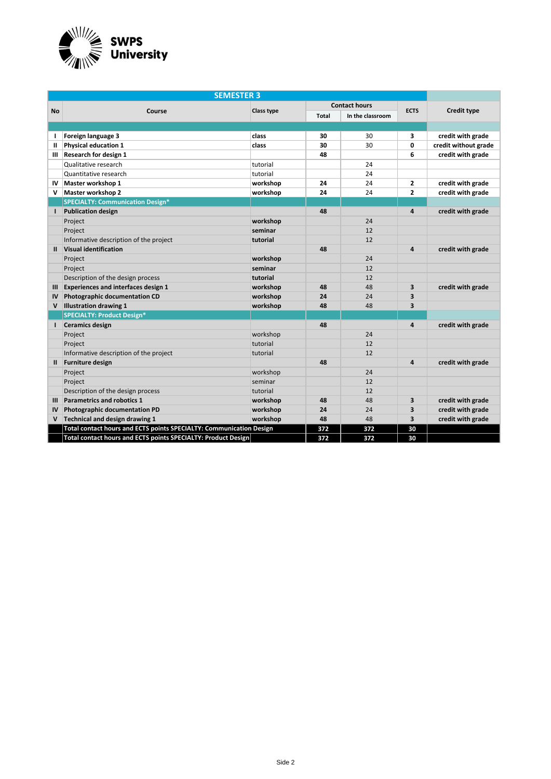

| <b>SEMESTER 3</b> |                                                                     |                   |              |                      |                         |                      |
|-------------------|---------------------------------------------------------------------|-------------------|--------------|----------------------|-------------------------|----------------------|
|                   |                                                                     |                   |              | <b>Contact hours</b> |                         |                      |
| <b>No</b>         | Course                                                              | <b>Class type</b> | <b>Total</b> | In the classroom     | <b>ECTS</b>             | <b>Credit type</b>   |
|                   |                                                                     |                   |              |                      |                         |                      |
| т.                | Foreign language 3                                                  | class             | 30           | 30                   | 3                       | credit with grade    |
| Ш                 | <b>Physical education 1</b>                                         | class             | 30           | 30                   | 0                       | credit without grade |
| Ш                 | <b>Research for design 1</b>                                        |                   | 48           |                      | 6                       | credit with grade    |
|                   | Qualitative research                                                | tutorial          |              | 24                   |                         |                      |
|                   | Quantitative research                                               | tutorial          |              | 24                   |                         |                      |
| IV                | Master workshop 1                                                   | workshop          | 24           | 24                   | $\mathbf{z}$            | credit with grade    |
| v                 | Master workshop 2                                                   | workshop          | 24           | 24                   | $\mathbf{z}$            | credit with grade    |
|                   | <b>SPECIALTY: Communication Design*</b>                             |                   |              |                      |                         |                      |
| L                 | <b>Publication design</b>                                           |                   | 48           |                      | 4                       | credit with grade    |
|                   | Project                                                             | workshop          |              | 24                   |                         |                      |
|                   | Project                                                             | seminar           |              | 12                   |                         |                      |
|                   | Informative description of the project                              | tutorial          |              | 12                   |                         |                      |
| Ш.                | <b>Visual identification</b>                                        |                   | 48           |                      | 4                       | credit with grade    |
|                   | Project                                                             | workshop          |              | 24                   |                         |                      |
|                   | Project                                                             | seminar           |              | 12                   |                         |                      |
|                   | Description of the design process                                   | tutorial          |              | 12                   |                         |                      |
| Ш                 | <b>Experiences and interfaces design 1</b>                          | workshop          | 48           | 48                   | $\overline{\mathbf{3}}$ | credit with grade    |
| IV                | Photographic documentation CD                                       | workshop          | 24           | 24                   | 3                       |                      |
| $\mathsf{v}$      | <b>Illustration drawing 1</b>                                       | workshop          | 48           | 48                   | 3                       |                      |
|                   | <b>SPECIALTY: Product Design*</b>                                   |                   |              |                      |                         |                      |
| $\mathbf{I}$      | <b>Ceramics design</b>                                              |                   | 48           |                      | 4                       | credit with grade    |
|                   | Project                                                             | workshop          |              | 24                   |                         |                      |
|                   | Project                                                             | tutorial          |              | 12                   |                         |                      |
|                   | Informative description of the project                              | tutorial          |              | 12                   |                         |                      |
| $\mathbf{H}$      | <b>Furniture design</b>                                             |                   | 48           |                      | 4                       | credit with grade    |
|                   | Project                                                             | workshop          |              | 24                   |                         |                      |
|                   | Project                                                             | seminar           |              | 12                   |                         |                      |
|                   | Description of the design process                                   | tutorial          |              | 12                   |                         |                      |
| Ш                 | Parametrics and robotics 1                                          | workshop          | 48           | 48                   | 3                       | credit with grade    |
| IV                | Photographic documentation PD                                       | workshop          | 24           | 24                   | 3                       | credit with grade    |
| v                 | Technical and design drawing 1                                      | workshop          | 48           | 48                   | $\overline{\mathbf{3}}$ | credit with grade    |
|                   | Total contact hours and ECTS points SPECIALTY: Communication Design |                   | 372          | 372                  | 30                      |                      |
|                   | Total contact hours and ECTS points SPECIALTY: Product Design       |                   | 372          | 372                  | 30                      |                      |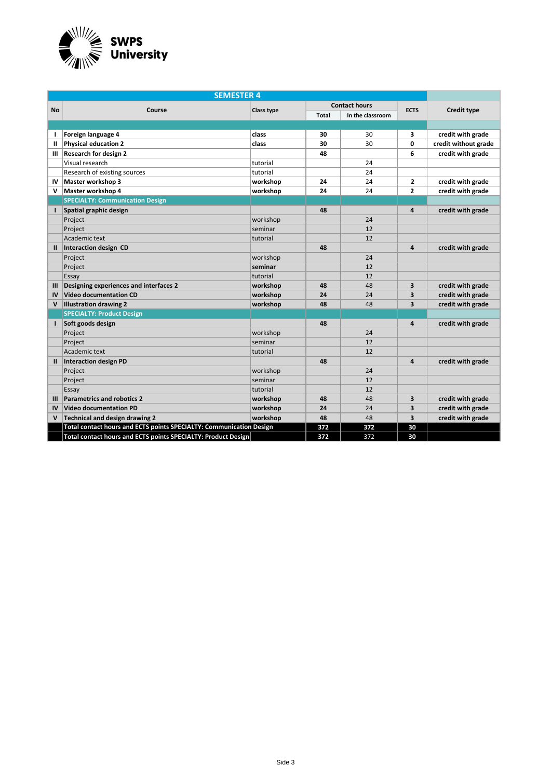

| <b>SEMESTER 4</b> |                                                                     |            |              |                      |              |                      |  |
|-------------------|---------------------------------------------------------------------|------------|--------------|----------------------|--------------|----------------------|--|
|                   |                                                                     |            |              | <b>Contact hours</b> | <b>ECTS</b>  |                      |  |
| <b>No</b>         | Course                                                              | Class type | <b>Total</b> | In the classroom     |              | <b>Credit type</b>   |  |
|                   |                                                                     |            |              |                      |              |                      |  |
| т.                | Foreign language 4                                                  | class      | 30           | 30                   | 3            | credit with grade    |  |
| Ш                 | <b>Physical education 2</b>                                         | class      | 30           | 30                   | 0            | credit without grade |  |
| Ш                 | <b>Research for design 2</b>                                        |            | 48           |                      | 6            | credit with grade    |  |
|                   | Visual research                                                     | tutorial   |              | 24                   |              |                      |  |
|                   | Research of existing sources                                        | tutorial   |              | 24                   |              |                      |  |
| IV                | Master workshop 3                                                   | workshop   | 24           | 24                   | $\mathbf{z}$ | credit with grade    |  |
| v                 | Master workshop 4                                                   | workshop   | 24           | 24                   | $\mathbf{z}$ | credit with grade    |  |
|                   | <b>SPECIALTY: Communication Design</b>                              |            |              |                      |              |                      |  |
| $\mathbf{I}$      | Spatial graphic design                                              |            | 48           |                      | 4            | credit with grade    |  |
|                   | Project                                                             | workshop   |              | 24                   |              |                      |  |
|                   | Project                                                             | seminar    |              | 12                   |              |                      |  |
|                   | Academic text                                                       | tutorial   |              | 12                   |              |                      |  |
| $\mathbf{II}$     | Interaction design CD                                               |            | 48           |                      | 4            | credit with grade    |  |
|                   | Project                                                             | workshop   |              | 24                   |              |                      |  |
|                   | Project                                                             | seminar    |              | 12                   |              |                      |  |
|                   | Essay                                                               | tutorial   |              | 12                   |              |                      |  |
| Ш                 | Designing experiences and interfaces 2                              | workshop   | 48           | 48                   | 3            | credit with grade    |  |
| IV                | <b>Video documentation CD</b>                                       | workshop   | 24           | 24                   | 3            | credit with grade    |  |
| V                 | <b>Illustration drawing 2</b>                                       | workshop   | 48           | 48                   | 3            | credit with grade    |  |
|                   | <b>SPECIALTY: Product Design</b>                                    |            |              |                      |              |                      |  |
| ı                 | Soft goods design                                                   |            | 48           |                      | 4            | credit with grade    |  |
|                   | Project                                                             | workshop   |              | 24                   |              |                      |  |
|                   | Project                                                             | seminar    |              | 12                   |              |                      |  |
|                   | Academic text                                                       | tutorial   |              | 12                   |              |                      |  |
| $\mathbf{H}$      | <b>Interaction design PD</b>                                        |            | 48           |                      | 4            | credit with grade    |  |
|                   | Project                                                             | workshop   |              | 24                   |              |                      |  |
|                   | Project                                                             | seminar    |              | 12                   |              |                      |  |
|                   | Essay                                                               | tutorial   |              | 12                   |              |                      |  |
| Ш                 | <b>Parametrics and robotics 2</b>                                   | workshop   | 48           | 48                   | 3            | credit with grade    |  |
| IV                | <b>Video documentation PD</b>                                       | workshop   | 24           | 24                   | 3            | credit with grade    |  |
| V                 | Technical and design drawing 2                                      | workshop   | 48           | 48                   | 3            | credit with grade    |  |
|                   | Total contact hours and ECTS points SPECIALTY: Communication Design |            | 372          | 372                  | 30           |                      |  |
|                   | Total contact hours and ECTS points SPECIALTY: Product Design       |            | 372          | 372                  | 30           |                      |  |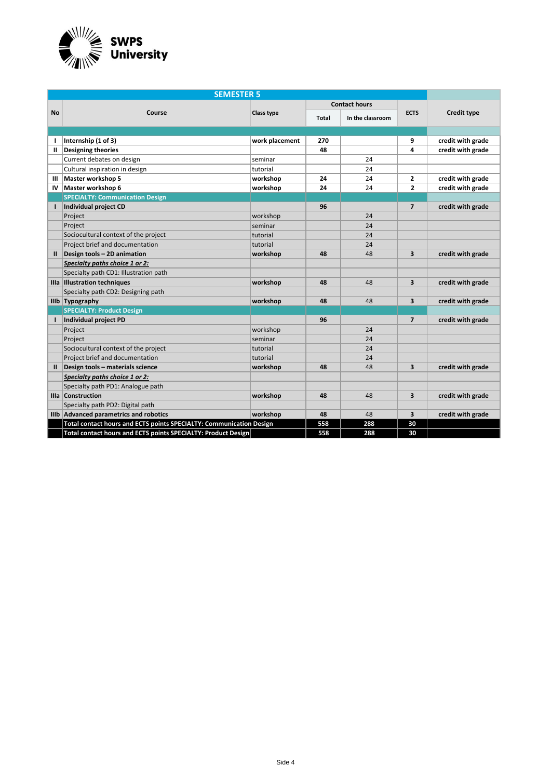

| <b>SEMESTER 5</b> |                                                                     |                |       |                      |                         |                   |  |
|-------------------|---------------------------------------------------------------------|----------------|-------|----------------------|-------------------------|-------------------|--|
|                   |                                                                     |                |       | <b>Contact hours</b> |                         |                   |  |
| <b>No</b>         | Course                                                              | Class type     | Total | In the classroom     | <b>ECTS</b>             | Credit type       |  |
|                   |                                                                     |                |       |                      |                         |                   |  |
| т                 | Internship (1 of 3)                                                 | work placement | 270   |                      | 9                       | credit with grade |  |
| Ш.                | <b>Designing theories</b>                                           |                | 48    |                      | 4                       | credit with grade |  |
|                   | Current debates on design                                           | seminar        |       | 24                   |                         |                   |  |
|                   | Cultural inspiration in design                                      | tutorial       |       | 24                   |                         |                   |  |
| Ш                 | Master workshop 5                                                   | workshop       | 24    | 24                   | $\mathbf{2}$            | credit with grade |  |
| IV                | Master workshop 6                                                   | workshop       | 24    | 24                   | $\overline{2}$          | credit with grade |  |
|                   | <b>SPECIALTY: Communication Design</b>                              |                |       |                      |                         |                   |  |
|                   | Individual project CD                                               |                | 96    |                      | $\overline{7}$          | credit with grade |  |
|                   | Project                                                             | workshop       |       | 24                   |                         |                   |  |
|                   | Project                                                             | seminar        |       | 24                   |                         |                   |  |
|                   | Sociocultural context of the project                                | tutorial       |       | 24                   |                         |                   |  |
|                   | Project brief and documentation                                     | tutorial       |       | 24                   |                         |                   |  |
| н.                | Design tools - 2D animation                                         | workshop       | 48    | 48                   | 3                       | credit with grade |  |
|                   | Specialty paths choice 1 or 2:                                      |                |       |                      |                         |                   |  |
|                   | Specialty path CD1: Illustration path                               |                |       |                      |                         |                   |  |
|                   | Illa Illustration techniques                                        | workshop       | 48    | 48                   | $\overline{\mathbf{3}}$ | credit with grade |  |
|                   | Specialty path CD2: Designing path                                  |                |       |                      |                         |                   |  |
|                   | IIIb Typography                                                     | workshop       | 48    | 48                   | 3                       | credit with grade |  |
|                   | <b>SPECIALTY: Product Design</b>                                    |                |       |                      |                         |                   |  |
| т.                | Individual project PD                                               |                | 96    |                      | $\overline{7}$          | credit with grade |  |
|                   | Project                                                             | workshop       |       | 24                   |                         |                   |  |
|                   | Project                                                             | seminar        |       | 24                   |                         |                   |  |
|                   | Sociocultural context of the project                                | tutorial       |       | 24                   |                         |                   |  |
|                   | Project brief and documentation                                     | tutorial       |       | 24                   |                         |                   |  |
| $\mathbf{u}$      | Design tools - materials science                                    | workshop       | 48    | 48                   | 3                       | credit with grade |  |
|                   | Specialty paths choice 1 or 2:                                      |                |       |                      |                         |                   |  |
|                   | Specialty path PD1: Analogue path                                   |                |       |                      |                         |                   |  |
|                   | IIIa Construction                                                   | workshop       | 48    | 48                   | 3                       | credit with grade |  |
|                   | Specialty path PD2: Digital path                                    |                |       |                      |                         |                   |  |
|                   | IIIb Advanced parametrics and robotics                              | workshop       | 48    | 48                   | $\overline{\mathbf{3}}$ | credit with grade |  |
|                   | Total contact hours and ECTS points SPECIALTY: Communication Design |                | 558   | 288                  | 30                      |                   |  |
|                   | Total contact hours and ECTS points SPECIALTY: Product Design       |                | 558   | 288                  | 30                      |                   |  |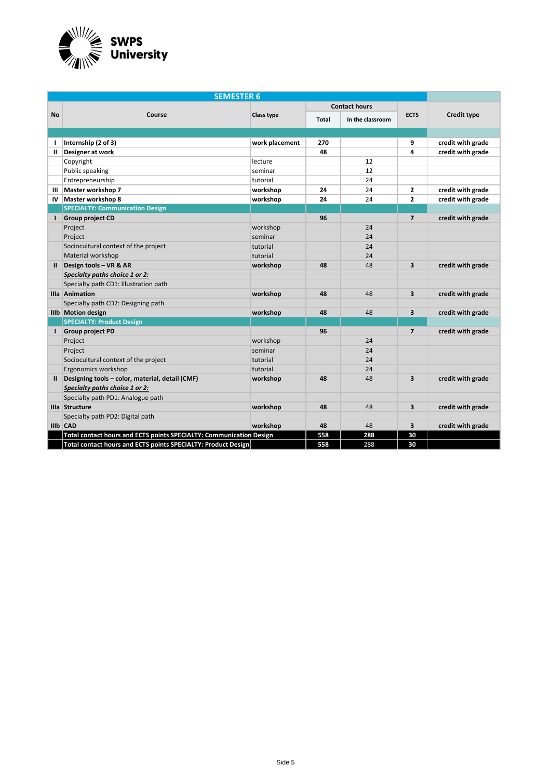

| <b>SEMESTER 6</b> |                                                                     |                |              |                      |                         |                    |  |
|-------------------|---------------------------------------------------------------------|----------------|--------------|----------------------|-------------------------|--------------------|--|
|                   |                                                                     |                |              | <b>Contact hours</b> |                         |                    |  |
| <b>No</b>         | Course                                                              | Class type     | <b>Total</b> | In the classroom     | <b>ECTS</b>             | <b>Credit type</b> |  |
|                   |                                                                     |                |              |                      |                         |                    |  |
| -1                | Internship (2 of 3)                                                 | work placement | 270          |                      | 9                       | credit with grade  |  |
| Ш                 | Designer at work                                                    |                | 48           |                      | 4                       | credit with grade  |  |
|                   | Copyright                                                           | lecture        |              | 12                   |                         |                    |  |
|                   | Public speaking                                                     | seminar        |              | 12                   |                         |                    |  |
|                   | Entrepreneurship                                                    | tutorial       |              | 24                   |                         |                    |  |
| Ш                 | Master workshop 7                                                   | workshop       | 24           | 24                   | $\mathbf{2}$            | credit with grade  |  |
| IV                | Master workshop 8                                                   | workshop       | 24           | 24                   | $\mathbf{z}$            | credit with grade  |  |
|                   | <b>SPECIALTY: Communication Design</b>                              |                |              |                      |                         |                    |  |
| L                 | <b>Group project CD</b>                                             |                | 96           |                      | $\overline{7}$          | credit with grade  |  |
|                   | Project                                                             | workshop       |              | 24                   |                         |                    |  |
|                   | Project                                                             | seminar        |              | 24                   |                         |                    |  |
|                   | Sociocultural context of the project                                | tutorial       |              | 24                   |                         |                    |  |
|                   | Material workshop                                                   | tutorial       |              | 24                   |                         |                    |  |
| $\mathbf{u}$      | Design tools - VR & AR                                              | workshop       | 48           | 48                   | 3                       | credit with grade  |  |
|                   | Specialty paths choice 1 or 2:                                      |                |              |                      |                         |                    |  |
|                   | Specialty path CD1: Illustration path                               |                |              |                      |                         |                    |  |
|                   | Illa Animation                                                      | workshop       | 48           | 48                   | $\overline{\mathbf{3}}$ | credit with grade  |  |
|                   | Specialty path CD2: Designing path                                  |                |              |                      |                         |                    |  |
|                   | IIIb Motion design                                                  | workshop       | 48           | 48                   | 3                       | credit with grade  |  |
|                   | <b>SPECIALTY: Product Design</b>                                    |                |              |                      |                         |                    |  |
| $\mathbf{I}$      | <b>Group project PD</b>                                             |                | 96           |                      | $\overline{7}$          | credit with grade  |  |
|                   | Project                                                             | workshop       |              | 24                   |                         |                    |  |
|                   | Project                                                             | seminar        |              | 24                   |                         |                    |  |
|                   | Sociocultural context of the project                                | tutorial       |              | 24                   |                         |                    |  |
|                   | Ergonomics workshop                                                 | tutorial       |              | 24                   |                         |                    |  |
| $\mathbf{H}$      | Designing tools - color, material, detail (CMF)                     | workshop       | 48           | 48                   | 3                       | credit with grade  |  |
|                   | Specialty paths choice 1 or 2:                                      |                |              |                      |                         |                    |  |
|                   | Specialty path PD1: Analogue path                                   |                |              |                      |                         |                    |  |
|                   | Illa Structure                                                      | workshop       | 48           | 48                   | 3                       | credit with grade  |  |
|                   | Specialty path PD2: Digital path                                    |                |              |                      |                         |                    |  |
|                   | IIIb CAD                                                            | workshop       | 48           | 48                   | $\overline{\mathbf{3}}$ | credit with grade  |  |
|                   | Total contact hours and ECTS points SPECIALTY: Communication Design |                | 558          | 288                  | 30                      |                    |  |
|                   | Total contact hours and ECTS points SPECIALTY: Product Design       |                | 558          | 288                  | 30                      |                    |  |